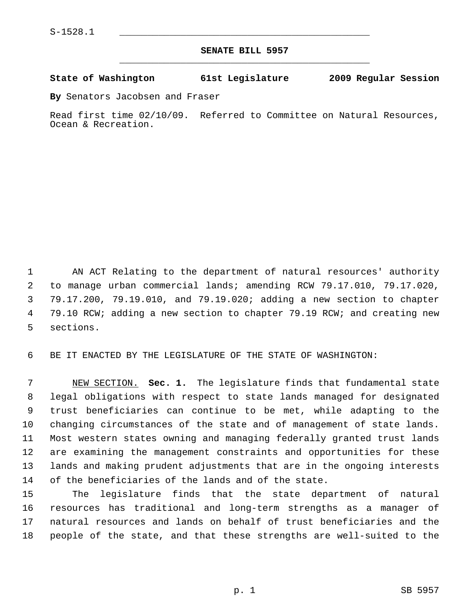## **SENATE BILL 5957** \_\_\_\_\_\_\_\_\_\_\_\_\_\_\_\_\_\_\_\_\_\_\_\_\_\_\_\_\_\_\_\_\_\_\_\_\_\_\_\_\_\_\_\_\_

## **State of Washington 61st Legislature 2009 Regular Session**

**By** Senators Jacobsen and Fraser

Read first time 02/10/09. Referred to Committee on Natural Resources, Ocean & Recreation.

 1 AN ACT Relating to the department of natural resources' authority 2 to manage urban commercial lands; amending RCW 79.17.010, 79.17.020, 3 79.17.200, 79.19.010, and 79.19.020; adding a new section to chapter 4 79.10 RCW; adding a new section to chapter 79.19 RCW; and creating new 5 sections.

6 BE IT ENACTED BY THE LEGISLATURE OF THE STATE OF WASHINGTON:

 7 NEW SECTION. **Sec. 1.** The legislature finds that fundamental state 8 legal obligations with respect to state lands managed for designated 9 trust beneficiaries can continue to be met, while adapting to the 10 changing circumstances of the state and of management of state lands. 11 Most western states owning and managing federally granted trust lands 12 are examining the management constraints and opportunities for these 13 lands and making prudent adjustments that are in the ongoing interests 14 of the beneficiaries of the lands and of the state.

15 The legislature finds that the state department of natural 16 resources has traditional and long-term strengths as a manager of 17 natural resources and lands on behalf of trust beneficiaries and the 18 people of the state, and that these strengths are well-suited to the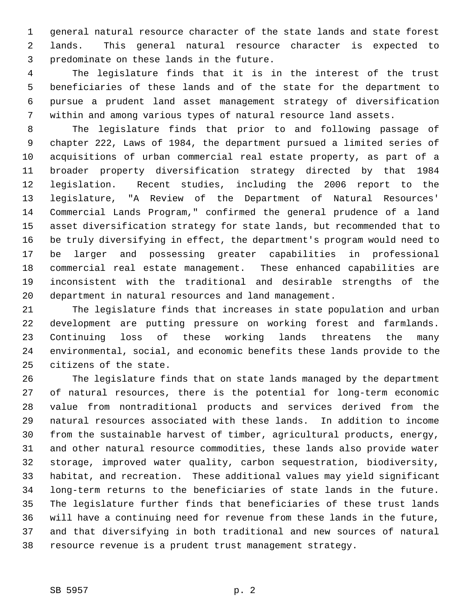1 general natural resource character of the state lands and state forest 2 lands. This general natural resource character is expected to 3 predominate on these lands in the future.

 4 The legislature finds that it is in the interest of the trust 5 beneficiaries of these lands and of the state for the department to 6 pursue a prudent land asset management strategy of diversification 7 within and among various types of natural resource land assets.

 8 The legislature finds that prior to and following passage of 9 chapter 222, Laws of 1984, the department pursued a limited series of 10 acquisitions of urban commercial real estate property, as part of a 11 broader property diversification strategy directed by that 1984 12 legislation. Recent studies, including the 2006 report to the 13 legislature, "A Review of the Department of Natural Resources' 14 Commercial Lands Program," confirmed the general prudence of a land 15 asset diversification strategy for state lands, but recommended that to 16 be truly diversifying in effect, the department's program would need to 17 be larger and possessing greater capabilities in professional 18 commercial real estate management. These enhanced capabilities are 19 inconsistent with the traditional and desirable strengths of the 20 department in natural resources and land management.

21 The legislature finds that increases in state population and urban 22 development are putting pressure on working forest and farmlands. 23 Continuing loss of these working lands threatens the many 24 environmental, social, and economic benefits these lands provide to the 25 citizens of the state.

26 The legislature finds that on state lands managed by the department 27 of natural resources, there is the potential for long-term economic 28 value from nontraditional products and services derived from the 29 natural resources associated with these lands. In addition to income 30 from the sustainable harvest of timber, agricultural products, energy, 31 and other natural resource commodities, these lands also provide water 32 storage, improved water quality, carbon sequestration, biodiversity, 33 habitat, and recreation. These additional values may yield significant 34 long-term returns to the beneficiaries of state lands in the future. 35 The legislature further finds that beneficiaries of these trust lands 36 will have a continuing need for revenue from these lands in the future, 37 and that diversifying in both traditional and new sources of natural 38 resource revenue is a prudent trust management strategy.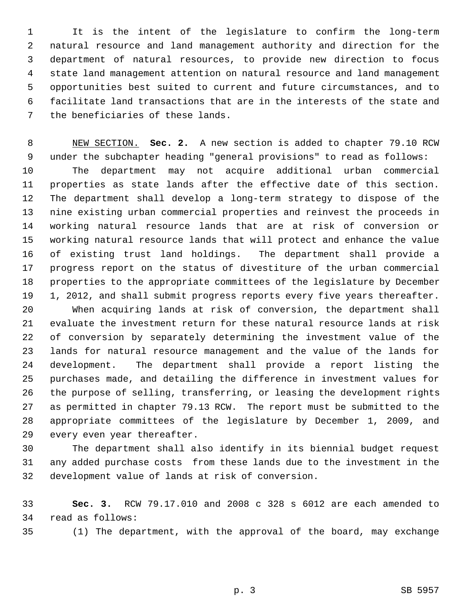1 It is the intent of the legislature to confirm the long-term 2 natural resource and land management authority and direction for the 3 department of natural resources, to provide new direction to focus 4 state land management attention on natural resource and land management 5 opportunities best suited to current and future circumstances, and to 6 facilitate land transactions that are in the interests of the state and 7 the beneficiaries of these lands.

 8 NEW SECTION. **Sec. 2.** A new section is added to chapter 79.10 RCW 9 under the subchapter heading "general provisions" to read as follows: 10 The department may not acquire additional urban commercial 11 properties as state lands after the effective date of this section. 12 The department shall develop a long-term strategy to dispose of the 13 nine existing urban commercial properties and reinvest the proceeds in 14 working natural resource lands that are at risk of conversion or 15 working natural resource lands that will protect and enhance the value 16 of existing trust land holdings. The department shall provide a 17 progress report on the status of divestiture of the urban commercial 18 properties to the appropriate committees of the legislature by December 19 1, 2012, and shall submit progress reports every five years thereafter.

20 When acquiring lands at risk of conversion, the department shall 21 evaluate the investment return for these natural resource lands at risk 22 of conversion by separately determining the investment value of the 23 lands for natural resource management and the value of the lands for 24 development. The department shall provide a report listing the 25 purchases made, and detailing the difference in investment values for 26 the purpose of selling, transferring, or leasing the development rights 27 as permitted in chapter 79.13 RCW. The report must be submitted to the 28 appropriate committees of the legislature by December 1, 2009, and 29 every even year thereafter.

30 The department shall also identify in its biennial budget request 31 any added purchase costs from these lands due to the investment in the 32 development value of lands at risk of conversion.

33 **Sec. 3.** RCW 79.17.010 and 2008 c 328 s 6012 are each amended to 34 read as follows:

35 (1) The department, with the approval of the board, may exchange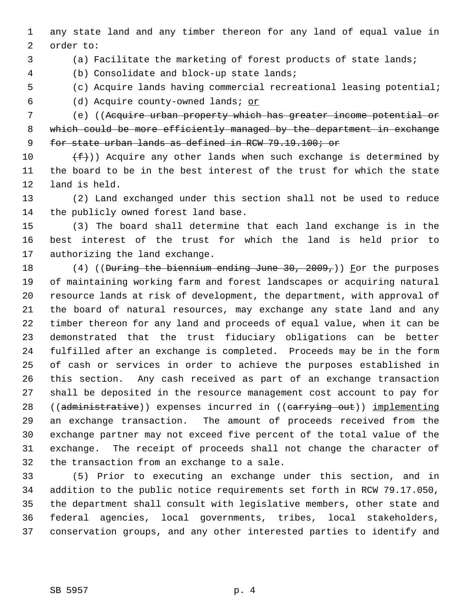1 any state land and any timber thereon for any land of equal value in 2 order to:

3 (a) Facilitate the marketing of forest products of state lands;

4 (b) Consolidate and block-up state lands;

 5 (c) Acquire lands having commercial recreational leasing potential; 6 (d) Acquire county-owned lands; or

 7 (e) ((Acquire urban property which has greater income potential or 8 which could be more efficiently managed by the department in exchange 9 for state urban lands as defined in RCW 79.19.100; or

10  $(f)$ ) Acquire any other lands when such exchange is determined by 11 the board to be in the best interest of the trust for which the state 12 land is held.

13 (2) Land exchanged under this section shall not be used to reduce 14 the publicly owned forest land base.

15 (3) The board shall determine that each land exchange is in the 16 best interest of the trust for which the land is held prior to 17 authorizing the land exchange.

18 (4) ((During the biennium ending June 30, 2009,)) For the purposes 19 of maintaining working farm and forest landscapes or acquiring natural 20 resource lands at risk of development, the department, with approval of 21 the board of natural resources, may exchange any state land and any 22 timber thereon for any land and proceeds of equal value, when it can be 23 demonstrated that the trust fiduciary obligations can be better 24 fulfilled after an exchange is completed. Proceeds may be in the form 25 of cash or services in order to achieve the purposes established in 26 this section. Any cash received as part of an exchange transaction 27 shall be deposited in the resource management cost account to pay for 28 ((administrative)) expenses incurred in ((carrying out)) implementing 29 an exchange transaction. The amount of proceeds received from the 30 exchange partner may not exceed five percent of the total value of the 31 exchange. The receipt of proceeds shall not change the character of 32 the transaction from an exchange to a sale.

33 (5) Prior to executing an exchange under this section, and in 34 addition to the public notice requirements set forth in RCW 79.17.050, 35 the department shall consult with legislative members, other state and 36 federal agencies, local governments, tribes, local stakeholders, 37 conservation groups, and any other interested parties to identify and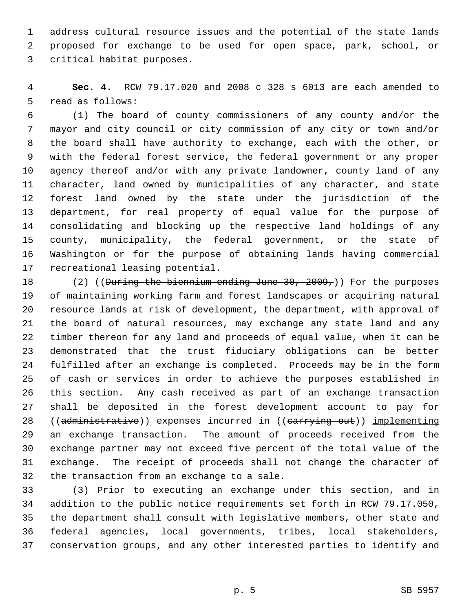1 address cultural resource issues and the potential of the state lands 2 proposed for exchange to be used for open space, park, school, or 3 critical habitat purposes.

 4 **Sec. 4.** RCW 79.17.020 and 2008 c 328 s 6013 are each amended to 5 read as follows:

 6 (1) The board of county commissioners of any county and/or the 7 mayor and city council or city commission of any city or town and/or 8 the board shall have authority to exchange, each with the other, or 9 with the federal forest service, the federal government or any proper 10 agency thereof and/or with any private landowner, county land of any 11 character, land owned by municipalities of any character, and state 12 forest land owned by the state under the jurisdiction of the 13 department, for real property of equal value for the purpose of 14 consolidating and blocking up the respective land holdings of any 15 county, municipality, the federal government, or the state of 16 Washington or for the purpose of obtaining lands having commercial 17 recreational leasing potential.

18 (2) ((During the biennium ending June 30, 2009,)) For the purposes 19 of maintaining working farm and forest landscapes or acquiring natural 20 resource lands at risk of development, the department, with approval of 21 the board of natural resources, may exchange any state land and any 22 timber thereon for any land and proceeds of equal value, when it can be 23 demonstrated that the trust fiduciary obligations can be better 24 fulfilled after an exchange is completed. Proceeds may be in the form 25 of cash or services in order to achieve the purposes established in 26 this section. Any cash received as part of an exchange transaction 27 shall be deposited in the forest development account to pay for 28 ((administrative)) expenses incurred in ((carrying out)) implementing 29 an exchange transaction. The amount of proceeds received from the 30 exchange partner may not exceed five percent of the total value of the 31 exchange. The receipt of proceeds shall not change the character of 32 the transaction from an exchange to a sale.

33 (3) Prior to executing an exchange under this section, and in 34 addition to the public notice requirements set forth in RCW 79.17.050, 35 the department shall consult with legislative members, other state and 36 federal agencies, local governments, tribes, local stakeholders, 37 conservation groups, and any other interested parties to identify and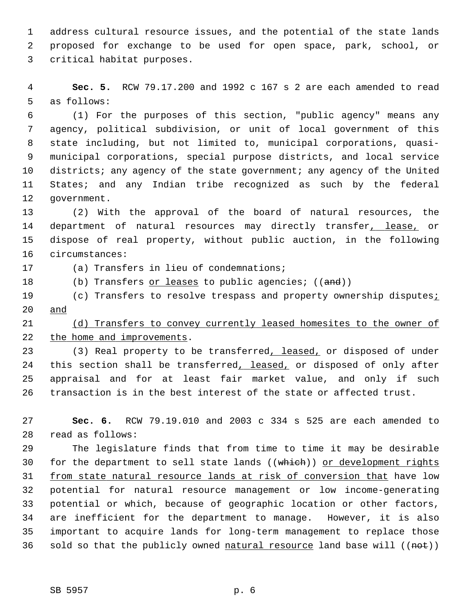1 address cultural resource issues, and the potential of the state lands 2 proposed for exchange to be used for open space, park, school, or 3 critical habitat purposes.

 4 **Sec. 5.** RCW 79.17.200 and 1992 c 167 s 2 are each amended to read 5 as follows:

 6 (1) For the purposes of this section, "public agency" means any 7 agency, political subdivision, or unit of local government of this 8 state including, but not limited to, municipal corporations, quasi- 9 municipal corporations, special purpose districts, and local service 10 districts; any agency of the state government; any agency of the United 11 States; and any Indian tribe recognized as such by the federal 12 government.

13 (2) With the approval of the board of natural resources, the 14 department of natural resources may directly transfer, lease, or 15 dispose of real property, without public auction, in the following 16 circumstances:

17 (a) Transfers in lieu of condemnations;

18 (b) Transfers or leases to public agencies; ((and))

19 (c) Transfers to resolve trespass and property ownership disputes; 20 and

21 (d) Transfers to convey currently leased homesites to the owner of 22 the home and improvements.

23 (3) Real property to be transferred, leased, or disposed of under 24 this section shall be transferred, leased, or disposed of only after 25 appraisal and for at least fair market value, and only if such 26 transaction is in the best interest of the state or affected trust.

27 **Sec. 6.** RCW 79.19.010 and 2003 c 334 s 525 are each amended to 28 read as follows:

29 The legislature finds that from time to time it may be desirable 30 for the department to sell state lands ((which)) or development rights 31 from state natural resource lands at risk of conversion that have low 32 potential for natural resource management or low income-generating 33 potential or which, because of geographic location or other factors, 34 are inefficient for the department to manage. However, it is also 35 important to acquire lands for long-term management to replace those 36 sold so that the publicly owned natural resource land base will  $((net))$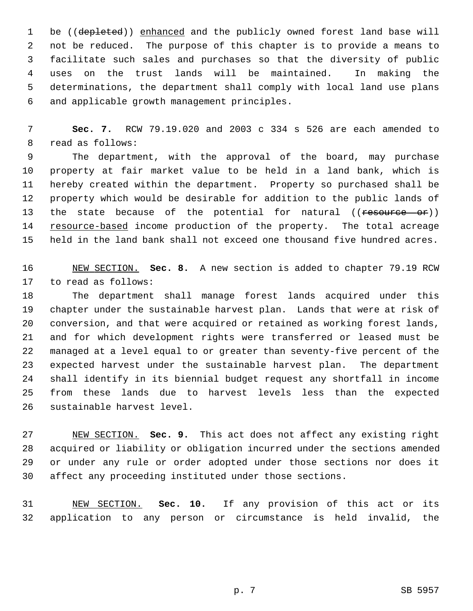1 be ((depleted)) enhanced and the publicly owned forest land base will 2 not be reduced. The purpose of this chapter is to provide a means to 3 facilitate such sales and purchases so that the diversity of public 4 uses on the trust lands will be maintained. In making the 5 determinations, the department shall comply with local land use plans 6 and applicable growth management principles.

 7 **Sec. 7.** RCW 79.19.020 and 2003 c 334 s 526 are each amended to 8 read as follows:

 9 The department, with the approval of the board, may purchase 10 property at fair market value to be held in a land bank, which is 11 hereby created within the department. Property so purchased shall be 12 property which would be desirable for addition to the public lands of 13 the state because of the potential for natural ((resource or)) 14 resource-based income production of the property. The total acreage 15 held in the land bank shall not exceed one thousand five hundred acres.

16 NEW SECTION. **Sec. 8.** A new section is added to chapter 79.19 RCW 17 to read as follows:

18 The department shall manage forest lands acquired under this 19 chapter under the sustainable harvest plan. Lands that were at risk of 20 conversion, and that were acquired or retained as working forest lands, 21 and for which development rights were transferred or leased must be 22 managed at a level equal to or greater than seventy-five percent of the 23 expected harvest under the sustainable harvest plan. The department 24 shall identify in its biennial budget request any shortfall in income 25 from these lands due to harvest levels less than the expected 26 sustainable harvest level.

27 NEW SECTION. **Sec. 9.** This act does not affect any existing right 28 acquired or liability or obligation incurred under the sections amended 29 or under any rule or order adopted under those sections nor does it 30 affect any proceeding instituted under those sections.

31 NEW SECTION. **Sec. 10.** If any provision of this act or its 32 application to any person or circumstance is held invalid, the